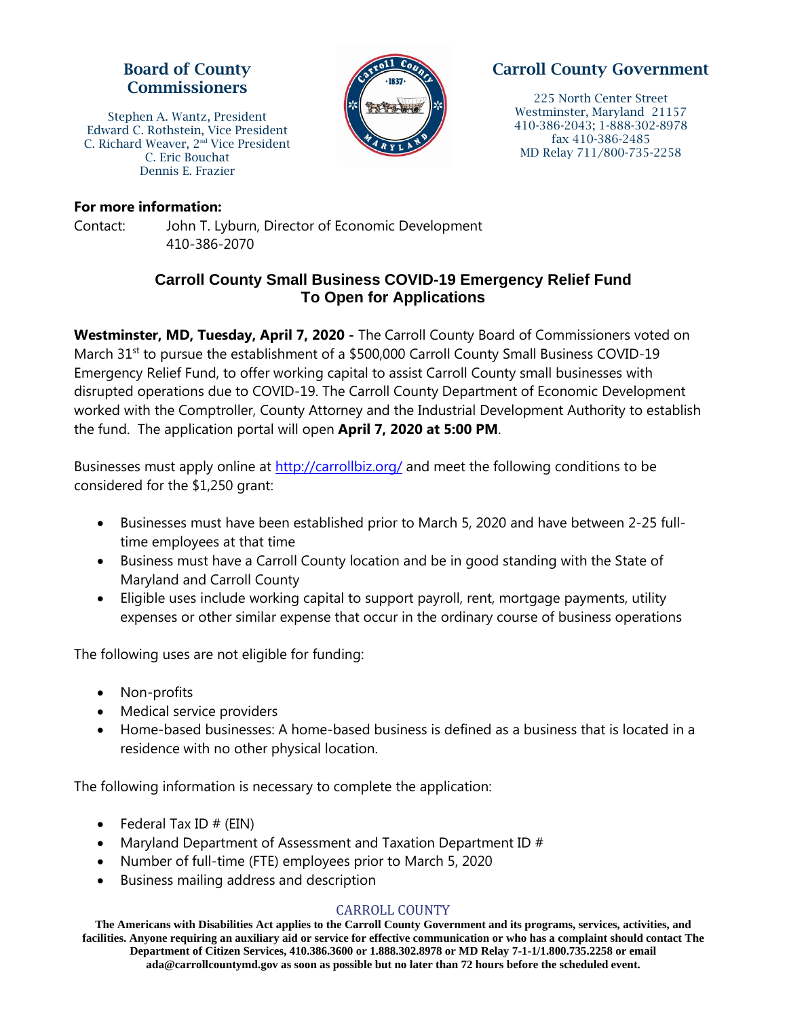## Board of County Commissioners

Stephen A. Wantz, President Edward C. Rothstein, Vice President C. Richard Weaver, 2<sup>nd</sup> Vice President C. Eric Bouchat Dennis E. Frazier



# Carroll County Government

225 North Center Street Westminster, Maryland 21157 410-386-2043; 1-888-302-8978 fax 410-386-2485 MD Relay 711/800-735-2258

#### **For more information:**

Contact: John T. Lyburn, Director of Economic Development 410-386-2070

## **Carroll County Small Business COVID-19 Emergency Relief Fund To Open for Applications**

**Westminster, MD, Tuesday, April 7, 2020 -** The Carroll County Board of Commissioners voted on March 31<sup>st</sup> to pursue the establishment of a \$500,000 Carroll County Small Business COVID-19 Emergency Relief Fund, to offer working capital to assist Carroll County small businesses with disrupted operations due to COVID-19. The Carroll County Department of Economic Development worked with the Comptroller, County Attorney and the Industrial Development Authority to establish the fund. The application portal will open **April 7, 2020 at 5:00 PM**.

Businesses must apply online at [http://carrollbiz.org/](http://carrollbiz.org/small-business-covid-19-emergency-relief-fund/) and meet the following conditions to be considered for the \$1,250 grant:

- Businesses must have been established prior to March 5, 2020 and have between 2-25 fulltime employees at that time
- Business must have a Carroll County location and be in good standing with the State of Maryland and Carroll County
- Eligible uses include working capital to support payroll, rent, mortgage payments, utility expenses or other similar expense that occur in the ordinary course of business operations

The following uses are not eligible for funding:

- Non-profits
- Medical service providers
- Home-based businesses: A home-based business is defined as a business that is located in a residence with no other physical location.

The following information is necessary to complete the application:

- Federal Tax ID  $#$  (EIN)
- Maryland Department of Assessment and Taxation Department ID #
- Number of full-time (FTE) employees prior to March 5, 2020
- Business mailing address and description

### CARROLL COUNTY

**The Americans with Disabilities Act applies to the Carroll County Government and its programs, services, activities, and facilities. Anyone requiring an auxiliary aid or service for effective communication or who has a complaint should contact The Department of Citizen Services, 410.386.3600 or 1.888.302.8978 or MD Relay 7-1-1/1.800.735.2258 or email ada@carrollcountymd.gov as soon as possible but no later than 72 hours before the scheduled event.**